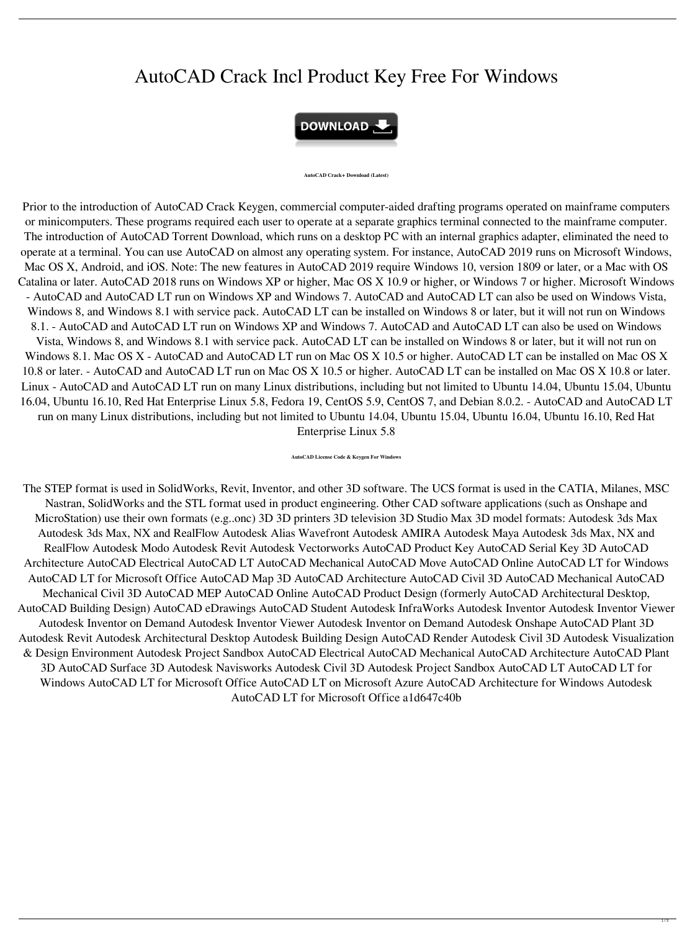## AutoCAD Crack Incl Product Key Free For Windows



**AutoCAD Crack+ Download (Latest)**

Prior to the introduction of AutoCAD Crack Keygen, commercial computer-aided drafting programs operated on mainframe computers or minicomputers. These programs required each user to operate at a separate graphics terminal connected to the mainframe computer. The introduction of AutoCAD Torrent Download, which runs on a desktop PC with an internal graphics adapter, eliminated the need to operate at a terminal. You can use AutoCAD on almost any operating system. For instance, AutoCAD 2019 runs on Microsoft Windows, Mac OS X, Android, and iOS. Note: The new features in AutoCAD 2019 require Windows 10, version 1809 or later, or a Mac with OS Catalina or later. AutoCAD 2018 runs on Windows XP or higher, Mac OS X 10.9 or higher, or Windows 7 or higher. Microsoft Windows - AutoCAD and AutoCAD LT run on Windows XP and Windows 7. AutoCAD and AutoCAD LT can also be used on Windows Vista, Windows 8, and Windows 8.1 with service pack. AutoCAD LT can be installed on Windows 8 or later, but it will not run on Windows 8.1. - AutoCAD and AutoCAD LT run on Windows XP and Windows 7. AutoCAD and AutoCAD LT can also be used on Windows Vista, Windows 8, and Windows 8.1 with service pack. AutoCAD LT can be installed on Windows 8 or later, but it will not run on Windows 8.1. Mac OS X - AutoCAD and AutoCAD LT run on Mac OS X 10.5 or higher. AutoCAD LT can be installed on Mac OS X 10.8 or later. - AutoCAD and AutoCAD LT run on Mac OS X 10.5 or higher. AutoCAD LT can be installed on Mac OS X 10.8 or later. Linux - AutoCAD and AutoCAD LT run on many Linux distributions, including but not limited to Ubuntu 14.04, Ubuntu 15.04, Ubuntu

16.04, Ubuntu 16.10, Red Hat Enterprise Linux 5.8, Fedora 19, CentOS 5.9, CentOS 7, and Debian 8.0.2. - AutoCAD and AutoCAD LT run on many Linux distributions, including but not limited to Ubuntu 14.04, Ubuntu 15.04, Ubuntu 16.04, Ubuntu 16.10, Red Hat Enterprise Linux 5.8

**AutoCAD License Code & Keygen For Windows**

The STEP format is used in SolidWorks, Revit, Inventor, and other 3D software. The UCS format is used in the CATIA, Milanes, MSC Nastran, SolidWorks and the STL format used in product engineering. Other CAD software applications (such as Onshape and MicroStation) use their own formats (e.g..onc) 3D 3D printers 3D television 3D Studio Max 3D model formats: Autodesk 3ds Max Autodesk 3ds Max, NX and RealFlow Autodesk Alias Wavefront Autodesk AMIRA Autodesk Maya Autodesk 3ds Max, NX and RealFlow Autodesk Modo Autodesk Revit Autodesk Vectorworks AutoCAD Product Key AutoCAD Serial Key 3D AutoCAD Architecture AutoCAD Electrical AutoCAD LT AutoCAD Mechanical AutoCAD Move AutoCAD Online AutoCAD LT for Windows AutoCAD LT for Microsoft Office AutoCAD Map 3D AutoCAD Architecture AutoCAD Civil 3D AutoCAD Mechanical AutoCAD Mechanical Civil 3D AutoCAD MEP AutoCAD Online AutoCAD Product Design (formerly AutoCAD Architectural Desktop, AutoCAD Building Design) AutoCAD eDrawings AutoCAD Student Autodesk InfraWorks Autodesk Inventor Autodesk Inventor Viewer Autodesk Inventor on Demand Autodesk Inventor Viewer Autodesk Inventor on Demand Autodesk Onshape AutoCAD Plant 3D Autodesk Revit Autodesk Architectural Desktop Autodesk Building Design AutoCAD Render Autodesk Civil 3D Autodesk Visualization & Design Environment Autodesk Project Sandbox AutoCAD Electrical AutoCAD Mechanical AutoCAD Architecture AutoCAD Plant 3D AutoCAD Surface 3D Autodesk Navisworks Autodesk Civil 3D Autodesk Project Sandbox AutoCAD LT AutoCAD LT for Windows AutoCAD LT for Microsoft Office AutoCAD LT on Microsoft Azure AutoCAD Architecture for Windows Autodesk AutoCAD LT for Microsoft Office a1d647c40b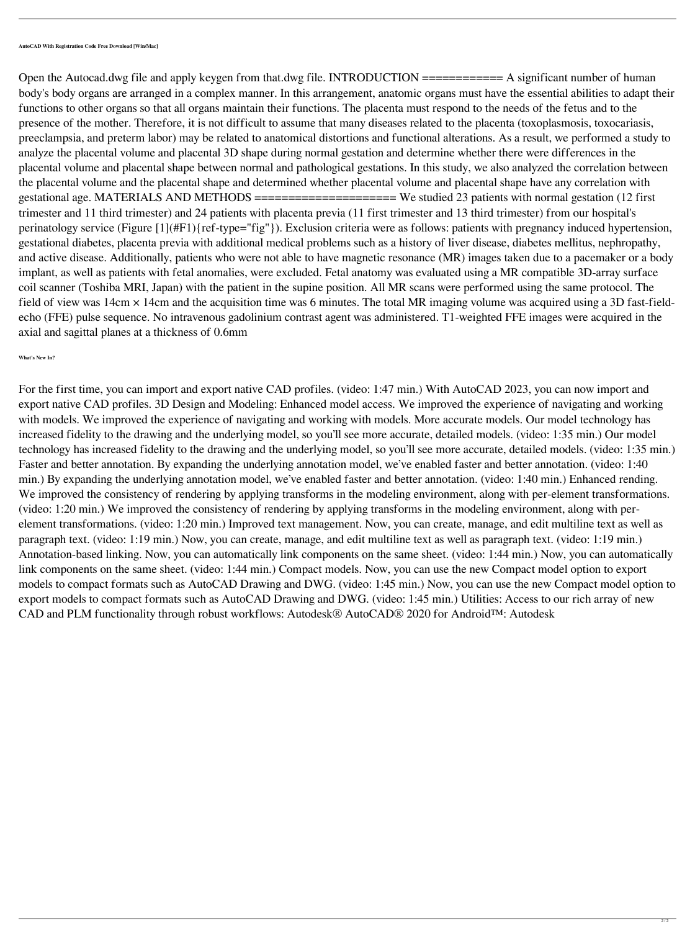**AutoCAD With Registration Code Free Download [Win/Mac]**

Open the Autocad.dwg file and apply keygen from that.dwg file. INTRODUCTION =========== A significant number of human body's body organs are arranged in a complex manner. In this arrangement, anatomic organs must have the essential abilities to adapt their functions to other organs so that all organs maintain their functions. The placenta must respond to the needs of the fetus and to the presence of the mother. Therefore, it is not difficult to assume that many diseases related to the placenta (toxoplasmosis, toxocariasis, preeclampsia, and preterm labor) may be related to anatomical distortions and functional alterations. As a result, we performed a study to analyze the placental volume and placental 3D shape during normal gestation and determine whether there were differences in the placental volume and placental shape between normal and pathological gestations. In this study, we also analyzed the correlation between the placental volume and the placental shape and determined whether placental volume and placental shape have any correlation with gestational age. MATERIALS AND METHODS ===================== We studied 23 patients with normal gestation (12 first trimester and 11 third trimester) and 24 patients with placenta previa (11 first trimester and 13 third trimester) from our hospital's perinatology service (Figure [1](#F1){ref-type="fig"}). Exclusion criteria were as follows: patients with pregnancy induced hypertension, gestational diabetes, placenta previa with additional medical problems such as a history of liver disease, diabetes mellitus, nephropathy, and active disease. Additionally, patients who were not able to have magnetic resonance (MR) images taken due to a pacemaker or a body implant, as well as patients with fetal anomalies, were excluded. Fetal anatomy was evaluated using a MR compatible 3D-array surface coil scanner (Toshiba MRI, Japan) with the patient in the supine position. All MR scans were performed using the same protocol. The field of view was 14cm  $\times$  14cm and the acquisition time was 6 minutes. The total MR imaging volume was acquired using a 3D fast-fieldecho (FFE) pulse sequence. No intravenous gadolinium contrast agent was administered. T1-weighted FFE images were acquired in the axial and sagittal planes at a thickness of 0.6mm

**What's New In?**

For the first time, you can import and export native CAD profiles. (video: 1:47 min.) With AutoCAD 2023, you can now import and

export native CAD profiles. 3D Design and Modeling: Enhanced model access. We improved the experience of navigating and working with models. We improved the experience of navigating and working with models. More accurate models. Our model technology has increased fidelity to the drawing and the underlying model, so you'll see more accurate, detailed models. (video: 1:35 min.) Our model technology has increased fidelity to the drawing and the underlying model, so you'll see more accurate, detailed models. (video: 1:35 min.) Faster and better annotation. By expanding the underlying annotation model, we've enabled faster and better annotation. (video: 1:40 min.) By expanding the underlying annotation model, we've enabled faster and better annotation. (video: 1:40 min.) Enhanced rending. We improved the consistency of rendering by applying transforms in the modeling environment, along with per-element transformations. (video: 1:20 min.) We improved the consistency of rendering by applying transforms in the modeling environment, along with perelement transformations. (video: 1:20 min.) Improved text management. Now, you can create, manage, and edit multiline text as well as paragraph text. (video: 1:19 min.) Now, you can create, manage, and edit multiline text as well as paragraph text. (video: 1:19 min.) Annotation-based linking. Now, you can automatically link components on the same sheet. (video: 1:44 min.) Now, you can automatically link components on the same sheet. (video: 1:44 min.) Compact models. Now, you can use the new Compact model option to export models to compact formats such as AutoCAD Drawing and DWG. (video: 1:45 min.) Now, you can use the new Compact model option to export models to compact formats such as AutoCAD Drawing and DWG. (video: 1:45 min.) Utilities: Access to our rich array of new CAD and PLM functionality through robust workflows: Autodesk® AutoCAD® 2020 for Android™: Autodesk